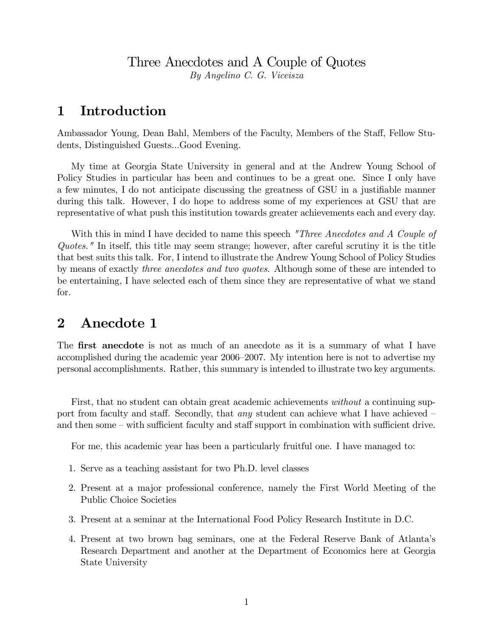#### Three Anecdotes and A Couple of Quotes By Angelino C. G. Viceisza

## 1 Introduction

Ambassador Young, Dean Bahl, Members of the Faculty, Members of the Staff, Fellow Students, Distinguished Guests...Good Evening.

My time at Georgia State University in general and at the Andrew Young School of Policy Studies in particular has been and continues to be a great one. Since I only have a few minutes, I do not anticipate discussing the greatness of GSU in a justifiable manner during this talk. However, I do hope to address some of my experiences at GSU that are representative of what push this institution towards greater achievements each and every day.

With this in mind I have decided to name this speech "Three Anecdotes and A Couple of Quotes." In itself, this title may seem strange; however, after careful scrutiny it is the title that best suits this talk. For, I intend to illustrate the Andrew Young School of Policy Studies by means of exactly three anecdotes and two quotes. Although some of these are intended to be entertaining, I have selected each of them since they are representative of what we stand for.

# 2 Anecdote 1

The **first anecdote** is not as much of an anecdote as it is a summary of what I have accomplished during the academic year 2006–2007. My intention here is not to advertise my personal accomplishments. Rather, this summary is intended to illustrate two key arguments.

First, that no student can obtain great academic achievements *without* a continuing support from faculty and staff. Secondly, that *any* student can achieve what I have achieved  $\overline{\phantom{a}}$ and then some – with sufficient faculty and staff support in combination with sufficient drive.

For me, this academic year has been a particularly fruitful one. I have managed to:

- 1. Serve as a teaching assistant for two Ph.D. level classes
- 2. Present at a major professional conference, namely the First World Meeting of the Public Choice Societies
- 3. Present at a seminar at the International Food Policy Research Institute in D.C.
- 4. Present at two brown bag seminars, one at the Federal Reserve Bank of Atlantaís Research Department and another at the Department of Economics here at Georgia State University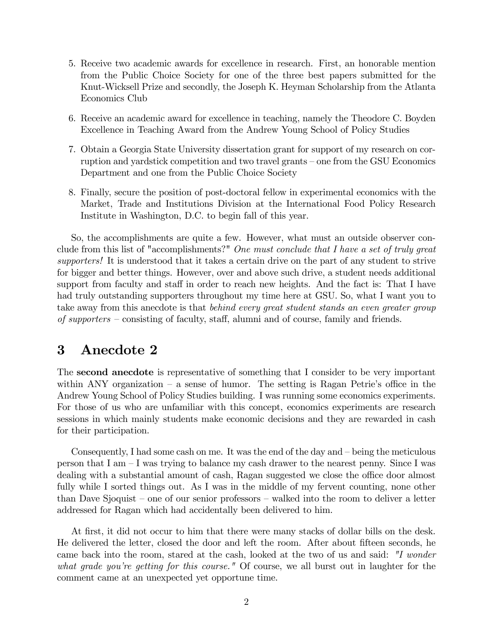- 5. Receive two academic awards for excellence in research. First, an honorable mention from the Public Choice Society for one of the three best papers submitted for the Knut-Wicksell Prize and secondly, the Joseph K. Heyman Scholarship from the Atlanta Economics Club
- 6. Receive an academic award for excellence in teaching, namely the Theodore C. Boyden Excellence in Teaching Award from the Andrew Young School of Policy Studies
- 7. Obtain a Georgia State University dissertation grant for support of my research on corruption and yardstick competition and two travel grants – one from the GSU Economics Department and one from the Public Choice Society
- 8. Finally, secure the position of post-doctoral fellow in experimental economics with the Market, Trade and Institutions Division at the International Food Policy Research Institute in Washington, D.C. to begin fall of this year.

So, the accomplishments are quite a few. However, what must an outside observer conclude from this list of "accomplishments?" One must conclude that I have a set of truly great supporters! It is understood that it takes a certain drive on the part of any student to strive for bigger and better things. However, over and above such drive, a student needs additional support from faculty and staff in order to reach new heights. And the fact is: That I have had truly outstanding supporters throughout my time here at GSU. So, what I want you to take away from this anecdote is that behind every great student stands an even greater group of supporters  $\sim$  consisting of faculty, staff, alumni and of course, family and friends.

# 3 Anecdote 2

The second anecdote is representative of something that I consider to be very important within ANY organization  $-$  a sense of humor. The setting is Ragan Petrie's office in the Andrew Young School of Policy Studies building. I was running some economics experiments. For those of us who are unfamiliar with this concept, economics experiments are research sessions in which mainly students make economic decisions and they are rewarded in cash for their participation.

Consequently, I had some cash on me. It was the end of the day and  $-\overline{\phantom{a}}$  being the meticulous person that I am  $-I$  was trying to balance my cash drawer to the nearest penny. Since I was dealing with a substantial amount of cash, Ragan suggested we close the office door almost fully while I sorted things out. As I was in the middle of my fervent counting, none other than Dave Sjoquist – one of our senior professors – walked into the room to deliver a letter addressed for Ragan which had accidentally been delivered to him.

At first, it did not occur to him that there were many stacks of dollar bills on the desk. He delivered the letter, closed the door and left the room. After about fifteen seconds, he came back into the room, stared at the cash, looked at the two of us and said: "I wonder what grade you're getting for this course." Of course, we all burst out in laughter for the comment came at an unexpected yet opportune time.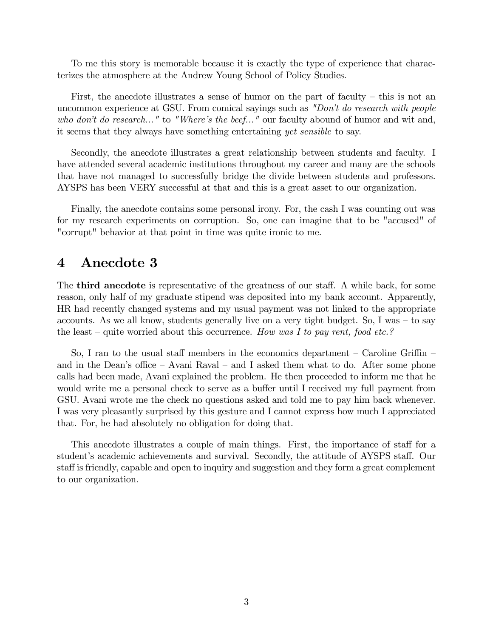To me this story is memorable because it is exactly the type of experience that characterizes the atmosphere at the Andrew Young School of Policy Studies.

First, the anecdote illustrates a sense of humor on the part of faculty  $-$  this is not an uncommon experience at GSU. From comical sayings such as "Don't do research with people who don't do research..." to "Where's the beef..." our faculty abound of humor and wit and, it seems that they always have something entertaining yet sensible to say.

Secondly, the anecdote illustrates a great relationship between students and faculty. I have attended several academic institutions throughout my career and many are the schools that have not managed to successfully bridge the divide between students and professors. AYSPS has been VERY successful at that and this is a great asset to our organization.

Finally, the anecdote contains some personal irony. For, the cash I was counting out was for my research experiments on corruption. So, one can imagine that to be "accused" of "corrupt" behavior at that point in time was quite ironic to me.

#### 4 Anecdote 3

The **third anecdote** is representative of the greatness of our staff. A while back, for some reason, only half of my graduate stipend was deposited into my bank account. Apparently, HR had recently changed systems and my usual payment was not linked to the appropriate accounts. As we all know, students generally live on a very tight budget. So, I was  $-$  to say the least – quite worried about this occurrence. How was I to pay rent, food etc.?

So, I ran to the usual staff members in the economics department  $-$  Caroline Griffin  $$ and in the Dean's office  $-$  Avani Raval  $-$  and I asked them what to do. After some phone calls had been made, Avani explained the problem. He then proceeded to inform me that he would write me a personal check to serve as a buffer until I received my full payment from GSU. Avani wrote me the check no questions asked and told me to pay him back whenever. I was very pleasantly surprised by this gesture and I cannot express how much I appreciated that. For, he had absolutely no obligation for doing that.

This anecdote illustrates a couple of main things. First, the importance of staff for a student's academic achievements and survival. Secondly, the attitude of AYSPS staff. Our staff is friendly, capable and open to inquiry and suggestion and they form a great complement to our organization.